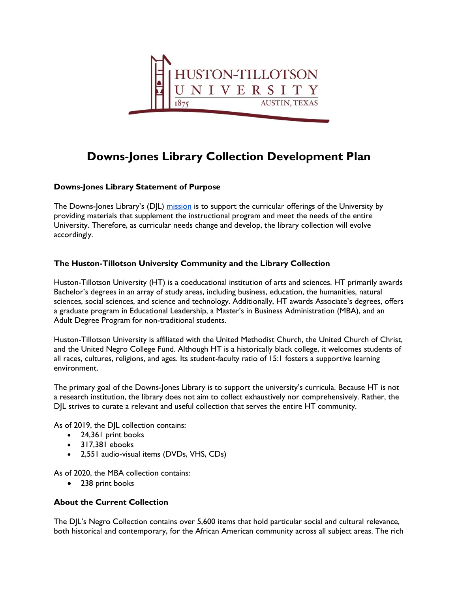

# **Downs-Jones Library Collection Development Plan**

# **Downs-Jones Library Statement of Purpose**

The Downs-Jones Library's (DJL) [mission](http://htu.edu/academics/library) is to support the curricular offerings of the University by providing materials that supplement the instructional program and meet the needs of the entire University. Therefore, as curricular needs change and develop, the library collection will evolve accordingly.

# **The Huston-Tillotson University Community and the Library Collection**

Huston-Tillotson University (HT) is a coeducational institution of arts and sciences. HT primarily awards Bachelor's degrees in an array of study areas, including business, education, the humanities, natural sciences, social sciences, and science and technology. Additionally, HT awards Associate's degrees, offers a graduate program in Educational Leadership, a Master's in Business Administration (MBA), and an Adult Degree Program for non-traditional students.

Huston-Tillotson University is affiliated with the United Methodist Church, the United Church of Christ, and the United Negro College Fund. Although HT is a historically black college, it welcomes students of all races, cultures, religions, and ages. Its student-faculty ratio of 15:1 fosters a supportive learning environment.

The primary goal of the Downs-Jones Library is to support the university's curricula. Because HT is not a research institution, the library does not aim to collect exhaustively nor comprehensively. Rather, the DJL strives to curate a relevant and useful collection that serves the entire HT community.

As of 2019, the DJL collection contains:

- 24,361 print books
- 317,381 ebooks
- 2,551 audio-visual items (DVDs, VHS, CDs)

As of 2020, the MBA collection contains:

• 238 print books

# **About the Current Collection**

The DJL's Negro Collection contains over 5,600 items that hold particular social and cultural relevance, both historical and contemporary, for the African American community across all subject areas. The rich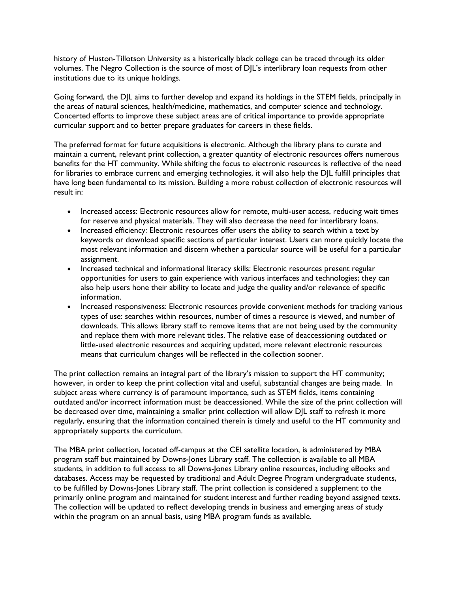history of Huston-Tillotson University as a historically black college can be traced through its older volumes. The Negro Collection is the source of most of DJL's interlibrary loan requests from other institutions due to its unique holdings.

Going forward, the DJL aims to further develop and expand its holdings in the STEM fields, principally in the areas of natural sciences, health/medicine, mathematics, and computer science and technology. Concerted efforts to improve these subject areas are of critical importance to provide appropriate curricular support and to better prepare graduates for careers in these fields.

The preferred format for future acquisitions is electronic. Although the library plans to curate and maintain a current, relevant print collection, a greater quantity of electronic resources offers numerous benefits for the HT community. While shifting the focus to electronic resources is reflective of the need for libraries to embrace current and emerging technologies, it will also help the DJL fulfill principles that have long been fundamental to its mission. Building a more robust collection of electronic resources will result in:

- Increased access: Electronic resources allow for remote, multi-user access, reducing wait times for reserve and physical materials. They will also decrease the need for interlibrary loans.
- Increased efficiency: Electronic resources offer users the ability to search within a text by keywords or download specific sections of particular interest. Users can more quickly locate the most relevant information and discern whether a particular source will be useful for a particular assignment.
- Increased technical and informational literacy skills: Electronic resources present regular opportunities for users to gain experience with various interfaces and technologies; they can also help users hone their ability to locate and judge the quality and/or relevance of specific information.
- Increased responsiveness: Electronic resources provide convenient methods for tracking various types of use: searches within resources, number of times a resource is viewed, and number of downloads. This allows library staff to remove items that are not being used by the community and replace them with more relevant titles. The relative ease of deaccessioning outdated or little-used electronic resources and acquiring updated, more relevant electronic resources means that curriculum changes will be reflected in the collection sooner.

The print collection remains an integral part of the library's mission to support the HT community; however, in order to keep the print collection vital and useful, substantial changes are being made. In subject areas where currency is of paramount importance, such as STEM fields, items containing outdated and/or incorrect information must be deaccessioned. While the size of the print collection will be decreased over time, maintaining a smaller print collection will allow DJL staff to refresh it more regularly, ensuring that the information contained therein is timely and useful to the HT community and appropriately supports the curriculum.

The MBA print collection, located off-campus at the CEI satellite location, is administered by MBA program staff but maintained by Downs-Jones Library staff. The collection is available to all MBA students, in addition to full access to all Downs-Jones Library online resources, including eBooks and databases. Access may be requested by traditional and Adult Degree Program undergraduate students, to be fulfilled by Downs-Jones Library staff. The print collection is considered a supplement to the primarily online program and maintained for student interest and further reading beyond assigned texts. The collection will be updated to reflect developing trends in business and emerging areas of study within the program on an annual basis, using MBA program funds as available.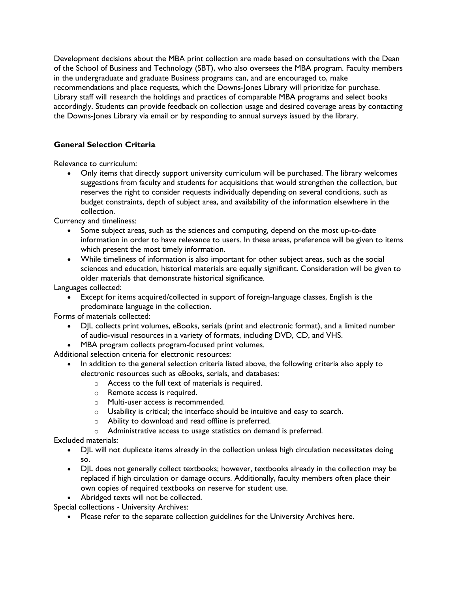Development decisions about the MBA print collection are made based on consultations with the Dean of the School of Business and Technology (SBT), who also oversees the MBA program. Faculty members in the undergraduate and graduate Business programs can, and are encouraged to, make recommendations and place requests, which the Downs-Jones Library will prioritize for purchase. Library staff will research the holdings and practices of comparable MBA programs and select books accordingly. Students can provide feedback on collection usage and desired coverage areas by contacting the Downs-Jones Library via email or by responding to annual surveys issued by the library.

# **General Selection Criteria**

Relevance to curriculum:

• Only items that directly support university curriculum will be purchased. The library welcomes suggestions from faculty and students for acquisitions that would strengthen the collection, but reserves the right to consider requests individually depending on several conditions, such as budget constraints, depth of subject area, and availability of the information elsewhere in the collection.

Currency and timeliness:

- Some subject areas, such as the sciences and computing, depend on the most up-to-date information in order to have relevance to users. In these areas, preference will be given to items which present the most timely information.
- While timeliness of information is also important for other subject areas, such as the social sciences and education, historical materials are equally significant. Consideration will be given to older materials that demonstrate historical significance.

Languages collected:

• Except for items acquired/collected in support of foreign-language classes, English is the predominate language in the collection.

Forms of materials collected:

- DJL collects print volumes, eBooks, serials (print and electronic format), and a limited number of audio-visual resources in a variety of formats, including DVD, CD, and VHS.
- MBA program collects program-focused print volumes.

Additional selection criteria for electronic resources:

- In addition to the general selection criteria listed above, the following criteria also apply to electronic resources such as eBooks, serials, and databases:
	- o Access to the full text of materials is required.
	- o Remote access is required.
	- o Multi-user access is recommended.
	- o Usability is critical; the interface should be intuitive and easy to search.
	- o Ability to download and read offline is preferred.
	- o Administrative access to usage statistics on demand is preferred.

Excluded materials:

- DJL will not duplicate items already in the collection unless high circulation necessitates doing so.
- DJL does not generally collect textbooks; however, textbooks already in the collection may be replaced if high circulation or damage occurs. Additionally, faculty members often place their own copies of required textbooks on reserve for student use.
- Abridged texts will not be collected.

Special collections - University Archives:

• Please refer to the separate collection guidelines for the University Archives here.